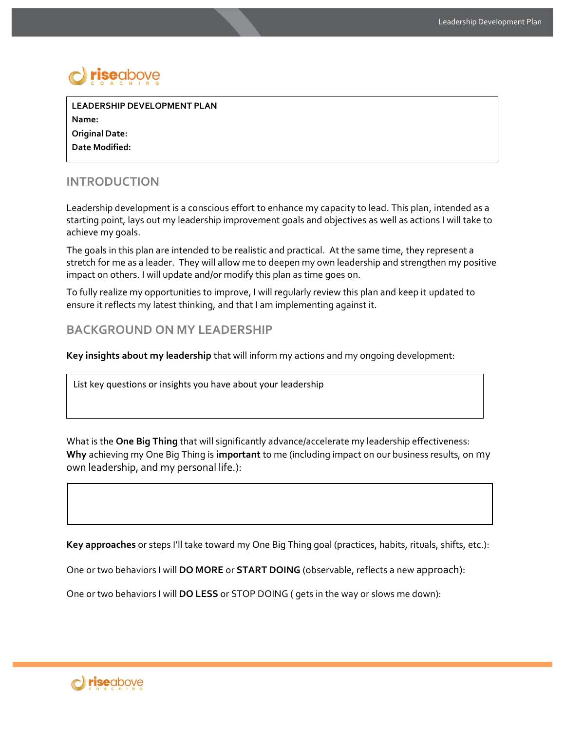

**LEADERSHIP DEVELOPMENT PLAN Name: Original Date: Date Modified:**

## **INTRODUCTION**

Leadership development is a conscious effort to enhance my capacity to lead. This plan, intended as a starting point, lays out my leadership improvement goals and objectives as well as actions I will take to achieve my goals.

The goals in this plan are intended to be realistic and practical. At the same time, they represent a stretch for me as a leader. They will allow me to deepen my own leadership and strengthen my positive impact on others. I will update and/or modify this plan as time goes on.

To fully realize my opportunities to improve, I will regularly review this plan and keep it updated to ensure it reflects my latest thinking, and that I am implementing against it.

## **BACKGROUND ON MY LEADERSHIP**

**Key insights about my leadership** that will inform my actions and my ongoing development:

List key questions or insights you have about your leadership

What is the **One Big Thing** that will significantly advance/accelerate my leadership effectiveness: **Why** achieving my One Big Thing is **important** to me (including impact on our business results, on my own leadership, and my personal life.):

**Key approaches** or steps I'll take toward my One Big Thing goal (practices, habits, rituals, shifts, etc.):

One or two behaviors I will **DO MORE** or **START DOING** (observable, reflects a new approach):

One or two behaviors I will **DO LESS** or STOP DOING ( gets in the way or slows me down):